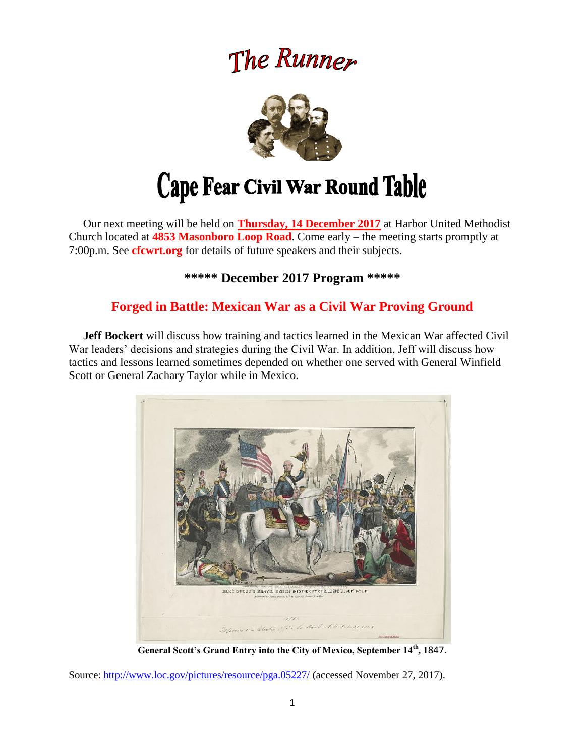# The Runner



 Our next meeting will be held on **Thursday, 14 December 2017** at Harbor United Methodist Church located at **4853 Masonboro Loop Road**. Come early – the meeting starts promptly at 7:00p.m. See **cfcwrt.org** for details of future speakers and their subjects.

**\*\*\*\*\* December 2017 Program \*\*\*\*\***

### **Forged in Battle: Mexican War as a Civil War Proving Ground**

 **Jeff Bockert** will discuss how training and tactics learned in the Mexican War affected Civil War leaders' decisions and strategies during the Civil War. In addition, Jeff will discuss how tactics and lessons learned sometimes depended on whether one served with General Winfield Scott or General Zachary Taylor while in Mexico.



**General Scott's Grand Entry into the City of Mexico, September 14th, 1**847.

Source:<http://www.loc.gov/pictures/resource/pga.05227/> (accessed November 27, 2017).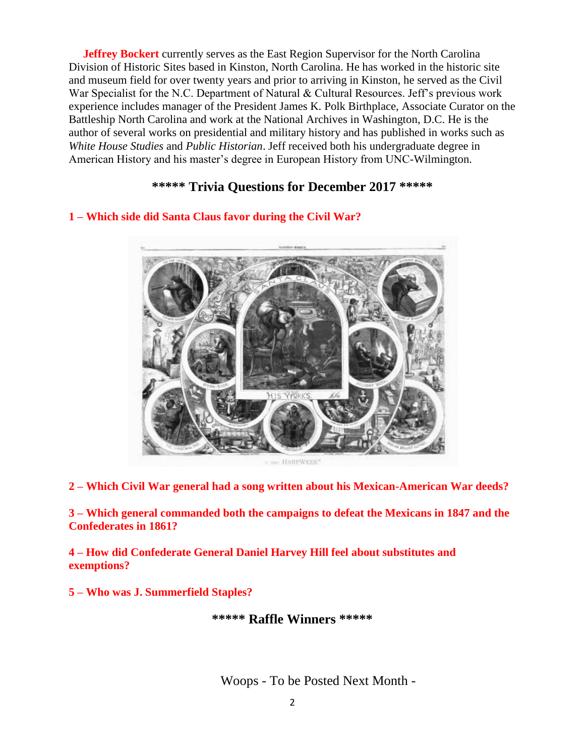**Jeffrey Bockert** currently serves as the East Region Supervisor for the North Carolina Division of Historic Sites based in Kinston, North Carolina. He has worked in the historic site and museum field for over twenty years and prior to arriving in Kinston, he served as the Civil War Specialist for the N.C. Department of Natural & Cultural Resources. Jeff's previous work experience includes manager of the President James K. Polk Birthplace, Associate Curator on the Battleship North Carolina and work at the National Archives in Washington, D.C. He is the author of several works on presidential and military history and has published in works such as *White House Studies* and *Public Historian*. Jeff received both his undergraduate degree in American History and his master's degree in European History from UNC-Wilmington.

#### **\*\*\*\*\* Trivia Questions for December 2017 \*\*\*\*\***



#### **1 – Which side did Santa Claus favor during the Civil War?**

**2 – Which Civil War general had a song written about his Mexican-American War deeds?**

**3 – Which general commanded both the campaigns to defeat the Mexicans in 1847 and the Confederates in 1861?** 

**4 – How did Confederate General Daniel Harvey Hill feel about substitutes and exemptions?**

**5 – Who was J. Summerfield Staples?**

**\*\*\*\*\* Raffle Winners \*\*\*\*\***

Woops - To be Posted Next Month -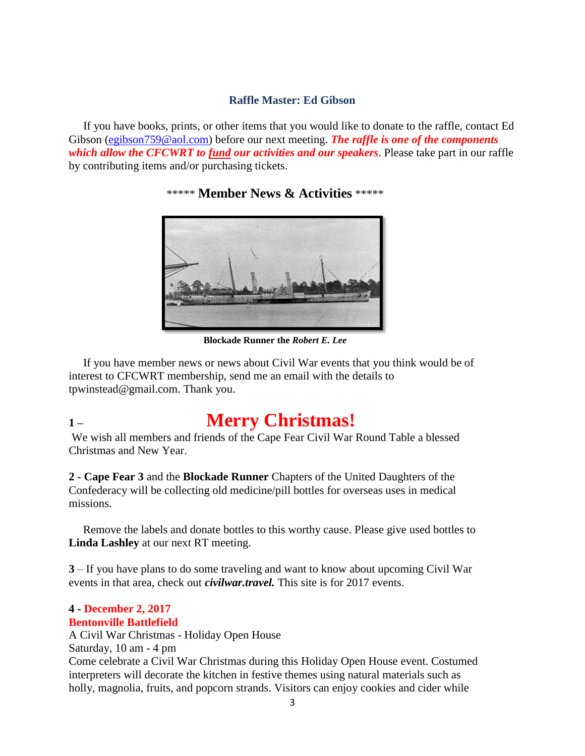#### **Raffle Master: Ed Gibson**

If you have books, prints, or other items that you would like to donate to the raffle, contact Ed Gibson [\(egibson759@aol.com\)](mailto:egibson759@aol.com) before our next meeting. **The raffle is one of the components** *which allow the CFCWRT to fund our activities and our speakers*. Please take part in our raffle by contributing items and/or purchasing tickets.

\*\*\*\*\* **Member News & Activities** \*\*\*\*\*



**Blockade Runner the** *Robert E. Lee*

 If you have member news or news about Civil War events that you think would be of interest to CFCWRT membership, send me an email with the details to tpwinstead@gmail.com. Thank you.

## **1 – Merry Christmas!**

We wish all members and friends of the Cape Fear Civil War Round Table a blessed Christmas and New Year.

**2 - Cape Fear 3** and the **Blockade Runner** Chapters of the United Daughters of the Confederacy will be collecting old medicine/pill bottles for overseas uses in medical missions.

 Remove the labels and donate bottles to this worthy cause. Please give used bottles to **Linda Lashley** at our next RT meeting.

**3** – If you have plans to do some traveling and want to know about upcoming Civil War events in that area, check out *civilwar.travel.* This site is for 2017 events.

#### **4 - December 2, 2017 Bentonville Battlefield**

A Civil War Christmas - Holiday Open House Saturday, 10 am - 4 pm Come celebrate a Civil War Christmas during this Holiday Open House event. Costumed interpreters will decorate the kitchen in festive themes using natural materials such as holly, magnolia, fruits, and popcorn strands. Visitors can enjoy cookies and cider while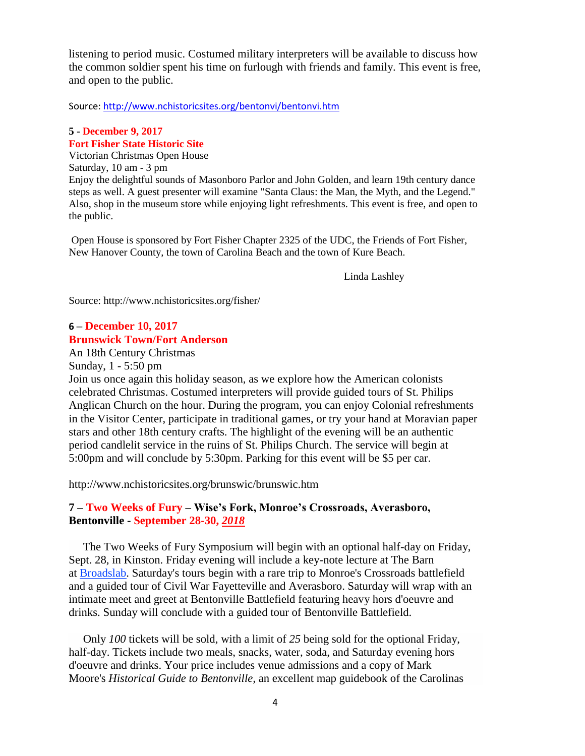listening to period music. Costumed military interpreters will be available to discuss how the common soldier spent his time on furlough with friends and family. This event is free, and open to the public.

Source:<http://www.nchistoricsites.org/bentonvi/bentonvi.htm>

#### **5** - **December 9, 2017 Fort Fisher State Historic Site**

Victorian Christmas Open House

Saturday, 10 am - 3 pm Enjoy the delightful sounds of Masonboro Parlor and John Golden, and learn 19th century dance steps as well. A guest presenter will examine "Santa Claus: the Man, the Myth, and the Legend." Also, shop in the museum store while enjoying light refreshments. This event is free, and open to the public.

Open House is sponsored by Fort Fisher Chapter 2325 of the UDC, the Friends of Fort Fisher, New Hanover County, the town of Carolina Beach and the town of Kure Beach.

Linda Lashley

Source: http://www.nchistoricsites.org/fisher/

#### **6 – December 10, 2017 Brunswick Town/Fort Anderson**

An 18th Century Christmas

Sunday, 1 - 5:50 pm

Join us once again this holiday season, as we explore how the American colonists celebrated Christmas. Costumed interpreters will provide guided tours of St. Philips Anglican Church on the hour. During the program, you can enjoy Colonial refreshments in the Visitor Center, participate in traditional games, or try your hand at Moravian paper stars and other 18th century crafts. The highlight of the evening will be an authentic period candlelit service in the ruins of St. Philips Church. The service will begin at 5:00pm and will conclude by 5:30pm. Parking for this event will be \$5 per car.

http://www.nchistoricsites.org/brunswic/brunswic.htm

#### **7 – Two Weeks of Fury – Wise's Fork, Monroe's Crossroads, Averasboro, Bentonville - September 28-30,** *2018*

 The Two Weeks of Fury Symposium will begin with an optional half-day on Friday, Sept. 28, in Kinston. Friday evening will include a key-note lecture at The Barn at [Broadslab.](http://www.broadslabdistillery.com/) Saturday's tours begin with a rare trip to Monroe's Crossroads battlefield and a guided tour of Civil War Fayetteville and Averasboro. Saturday will wrap with an intimate meet and greet at Bentonville Battlefield featuring heavy hors d'oeuvre and drinks. Sunday will conclude with a guided tour of Bentonville Battlefield.

 Only *100* tickets will be sold, with a limit of *25* being sold for the optional Friday, half-day. Tickets include two meals, snacks, water, soda, and Saturday evening hors d'oeuvre and drinks. Your price includes venue admissions and a copy of Mark Moore's *Historical Guide to Bentonville,* an excellent map guidebook of the Carolinas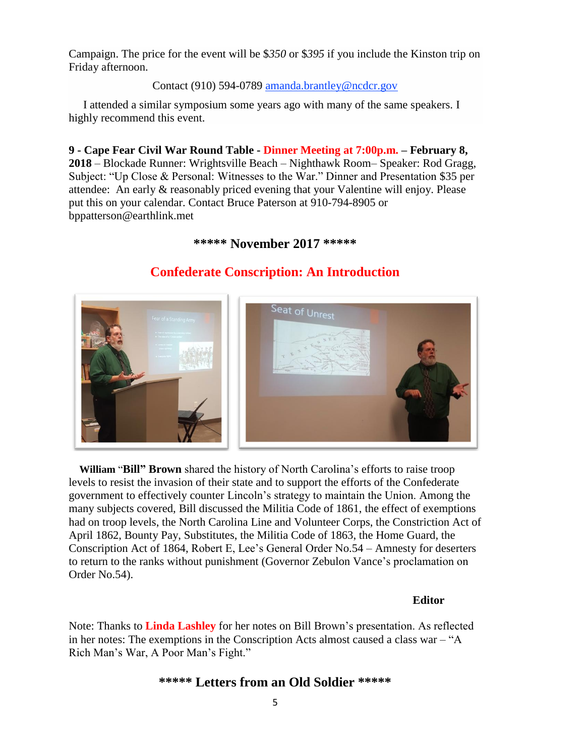Campaign. The price for the event will be \$*350* or \$*395* if you include the Kinston trip on Friday afternoon.

#### Contact (910) 594-0789 [amanda.brantley@ncdcr.gov](mailto:amanda.brantley@ncdcr.gov?subject=Symposium%20&%20Tour)

 I attended a similar symposium some years ago with many of the same speakers. I highly recommend this event.

**9 - Cape Fear Civil War Round Table - Dinner Meeting at 7:00p.m. – February 8, 2018** – Blockade Runner: Wrightsville Beach – Nighthawk Room– Speaker: Rod Gragg, Subject: "Up Close & Personal: Witnesses to the War." Dinner and Presentation \$35 per attendee: An early & reasonably priced evening that your Valentine will enjoy. Please put this on your calendar. Contact Bruce Paterson at 910-794-8905 or bppatterson@earthlink.met

#### **\*\*\*\*\* November 2017 \*\*\*\*\***



### **Confederate Conscription: An Introduction**

 **William** "**Bill" Brown** shared the history of North Carolina's efforts to raise troop levels to resist the invasion of their state and to support the efforts of the Confederate government to effectively counter Lincoln's strategy to maintain the Union. Among the many subjects covered, Bill discussed the Militia Code of 1861, the effect of exemptions had on troop levels, the North Carolina Line and Volunteer Corps, the Constriction Act of April 1862, Bounty Pay, Substitutes, the Militia Code of 1863, the Home Guard, the Conscription Act of 1864, Robert E, Lee's General Order No.54 – Amnesty for deserters to return to the ranks without punishment (Governor Zebulon Vance's proclamation on Order No.54).

#### **Editor**

Note: Thanks to **Linda Lashley** for her notes on Bill Brown's presentation. As reflected in her notes: The exemptions in the Conscription Acts almost caused a class war – "A Rich Man's War, A Poor Man's Fight."

#### **\*\*\*\*\* Letters from an Old Soldier \*\*\*\*\***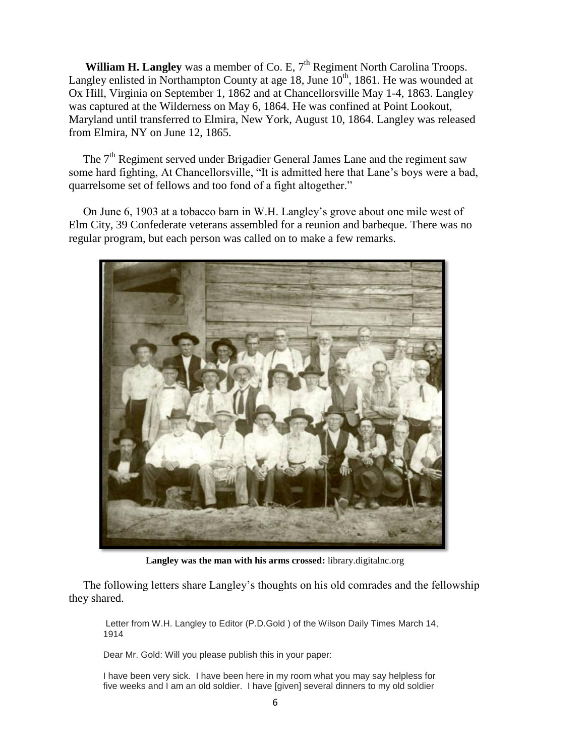**William H. Langley** was a member of Co. E, 7<sup>th</sup> Regiment North Carolina Troops. Langley enlisted in Northampton County at age 18, June  $10<sup>th</sup>$ , 1861. He was wounded at Ox Hill, Virginia on September 1, 1862 and at Chancellorsville May 1-4, 1863. Langley was captured at the Wilderness on May 6, 1864. He was confined at Point Lookout, Maryland until transferred to Elmira, New York, August 10, 1864. Langley was released from Elmira, NY on June 12, 1865.

The 7<sup>th</sup> Regiment served under Brigadier General James Lane and the regiment saw some hard fighting, At Chancellorsville, "It is admitted here that Lane's boys were a bad, quarrelsome set of fellows and too fond of a fight altogether."

 On June 6, 1903 at a tobacco barn in W.H. Langley's grove about one mile west of Elm City, 39 Confederate veterans assembled for a reunion and barbeque. There was no regular program, but each person was called on to make a few remarks.



**Langley was the man with his arms crossed:** library.digitalnc.org

 The following letters share Langley's thoughts on his old comrades and the fellowship they shared.

Letter from W.H. Langley to Editor (P.D.Gold ) of the Wilson Daily Times March 14, 1914

Dear Mr. Gold: Will you please publish this in your paper:

I have been very sick. I have been here in my room what you may say helpless for five weeks and I am an old soldier. I have [given] several dinners to my old soldier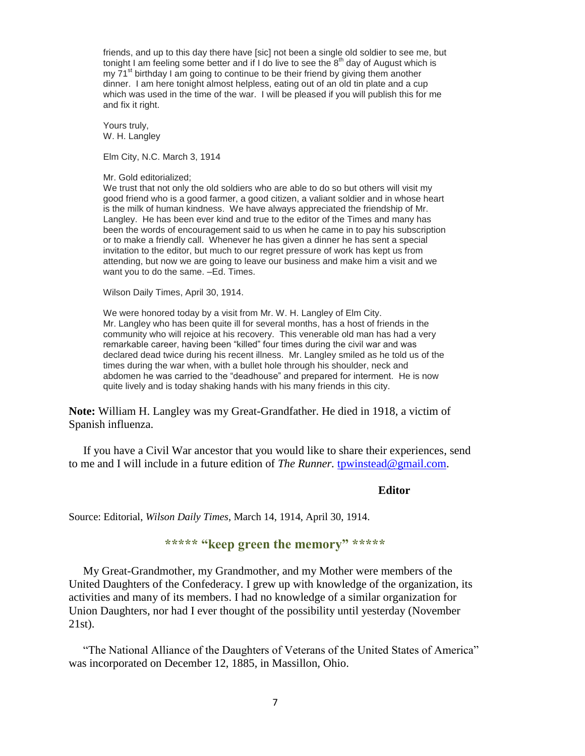friends, and up to this day there have [sic] not been a single old soldier to see me, but tonight I am feeling some better and if I do live to see the  $8<sup>th</sup>$  day of August which is my  $71<sup>st</sup>$  birthday I am going to continue to be their friend by giving them another dinner. I am here tonight almost helpless, eating out of an old tin plate and a cup which was used in the time of the war. I will be pleased if you will publish this for me and fix it right.

Yours truly, W. H. Langley

Elm City, N.C. March 3, 1914

Mr. Gold editorialized;

We trust that not only the old soldiers who are able to do so but others will visit my good friend who is a good farmer, a good citizen, a valiant soldier and in whose heart is the milk of human kindness. We have always appreciated the friendship of Mr. Langley. He has been ever kind and true to the editor of the Times and many has been the words of encouragement said to us when he came in to pay his subscription or to make a friendly call. Whenever he has given a dinner he has sent a special invitation to the editor, but much to our regret pressure of work has kept us from attending, but now we are going to leave our business and make him a visit and we want you to do the same. –Ed. Times.

Wilson Daily Times, April 30, 1914.

We were honored today by a visit from Mr. W. H. Langley of Elm City. Mr. Langley who has been quite ill for several months, has a host of friends in the community who will rejoice at his recovery. This venerable old man has had a very remarkable career, having been "killed" four times during the civil war and was declared dead twice during his recent illness. Mr. Langley smiled as he told us of the times during the war when, with a bullet hole through his shoulder, neck and abdomen he was carried to the "deadhouse" and prepared for interment. He is now quite lively and is today shaking hands with his many friends in this city.

**Note:** William H. Langley was my Great-Grandfather. He died in 1918, a victim of Spanish influenza.

 If you have a Civil War ancestor that you would like to share their experiences, send to me and I will include in a future edition of *The Runner.* [tpwinstead@gmail.com.](mailto:tpwinstead@gmail.com)

#### **Editor**

Source: Editorial, *Wilson Daily Times*, March 14, 1914, April 30, 1914.

#### **\*\*\*\*\* "keep green the memory" \*\*\*\*\***

 My Great-Grandmother, my Grandmother, and my Mother were members of the United Daughters of the Confederacy. I grew up with knowledge of the organization, its activities and many of its members. I had no knowledge of a similar organization for Union Daughters, nor had I ever thought of the possibility until yesterday (November 21st).

 "The National Alliance of the Daughters of Veterans of the United States of America" was incorporated on December 12, 1885, in Massillon, Ohio.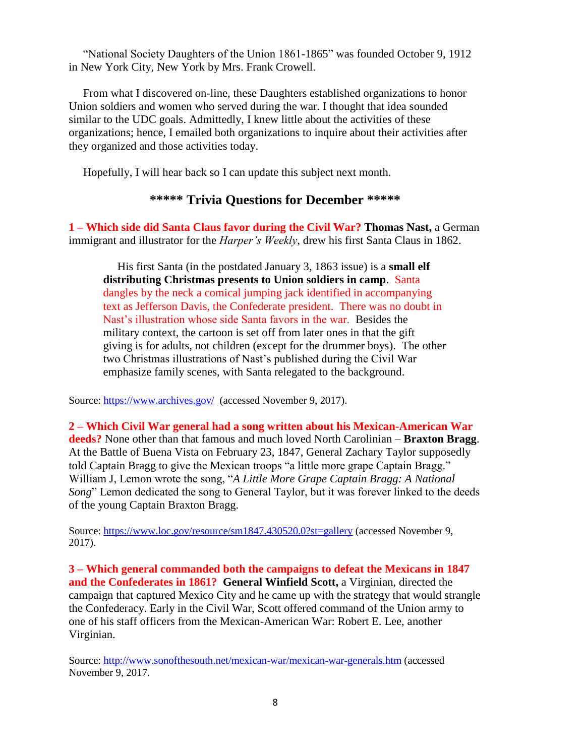"National Society Daughters of the Union 1861-1865" was founded October 9, 1912 in New York City, New York by Mrs. Frank Crowell.

From what I discovered on-line, these Daughters established organizations to honor Union soldiers and women who served during the war. I thought that idea sounded similar to the UDC goals. Admittedly, I knew little about the activities of these organizations; hence, I emailed both organizations to inquire about their activities after they organized and those activities today.

Hopefully, I will hear back so I can update this subject next month.

#### **\*\*\*\*\* Trivia Questions for December \*\*\*\*\***

**1 – Which side did Santa Claus favor during the Civil War? Thomas Nast,** a German immigrant and illustrator for the *Harper's Weekly*, drew his first Santa Claus in 1862.

 His first Santa (in the postdated January 3, 1863 issue) is a **small elf distributing Christmas presents to Union soldiers in camp**. Santa dangles by the neck a comical jumping jack identified in accompanying text as Jefferson Davis, the Confederate president. There was no doubt in Nast's illustration whose side Santa favors in the war. Besides the military context, the cartoon is set off from later ones in that the gift giving is for adults, not children (except for the drummer boys). The other two Christmas illustrations of Nast's published during the Civil War emphasize family scenes, with Santa relegated to the background.

Source:<https://www.archives.gov/>(accessed November 9, 2017).

**2 – Which Civil War general had a song written about his Mexican-American War deeds?** None other than that famous and much loved North Carolinian – **Braxton Bragg**. At the Battle of Buena Vista on February 23, 1847, General Zachary Taylor supposedly told Captain Bragg to give the Mexican troops "a little more grape Captain Bragg." William J, Lemon wrote the song, "*A Little More Grape Captain Bragg: A National Song*" Lemon dedicated the song to General Taylor, but it was forever linked to the deeds of the young Captain Braxton Bragg.

Source:<https://www.loc.gov/resource/sm1847.430520.0?st=gallery> (accessed November 9, 2017).

**3 – Which general commanded both the campaigns to defeat the Mexicans in 1847 and the Confederates in 1861? General Winfield Scott,** a Virginian, directed the campaign that captured Mexico City and he came up with the strategy that would strangle the Confederacy. Early in the Civil War, Scott offered command of the Union army to one of his staff officers from the Mexican-American War: Robert E. Lee, another Virginian.

Source:<http://www.sonofthesouth.net/mexican-war/mexican-war-generals.htm> (accessed November 9, 2017.